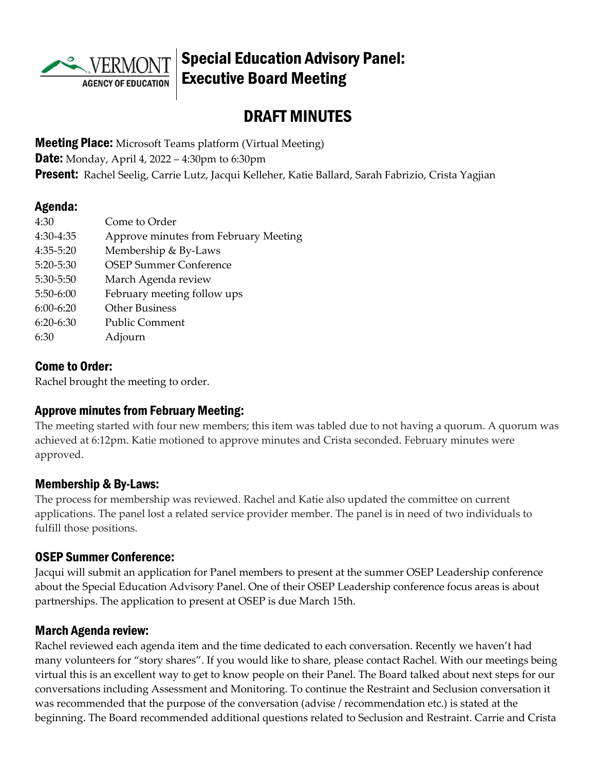

# Special Education Advisory Panel: Executive Board Meeting

# DRAFT MINUTES

**Meeting Place:** Microsoft Teams platform (Virtual Meeting) **Date:** Monday, April 4, 2022 – 4:30pm to 6:30pm Present: Rachel Seelig, Carrie Lutz, Jacqui Kelleher, Katie Ballard, Sarah Fabrizio, Crista Yagjian

#### Agenda:

| 4:30        | Come to Order                         |
|-------------|---------------------------------------|
| 4:30-4:35   | Approve minutes from February Meeting |
| 4:35-5:20   | Membership & By-Laws                  |
| 5:20-5:30   | <b>OSEP Summer Conference</b>         |
| 5:30-5:50   | March Agenda review                   |
| $5:50-6:00$ | February meeting follow ups           |
| $6:00-6:20$ | <b>Other Business</b>                 |
| $6:20-6:30$ | <b>Public Comment</b>                 |
| 6:30        | Adjourn                               |

#### Come to Order:

Rachel brought the meeting to order.

### Approve minutes from February Meeting:

The meeting started with four new members; this item was tabled due to not having a quorum. A quorum was achieved at 6:12pm. Katie motioned to approve minutes and Crista seconded. February minutes were approved.

### Membership & By-Laws:

The process for membership was reviewed. Rachel and Katie also updated the committee on current applications. The panel lost a related service provider member. The panel is in need of two individuals to fulfill those positions.

#### OSEP Summer Conference:

Jacqui will submit an application for Panel members to present at the summer OSEP Leadership conference about the Special Education Advisory Panel. One of their OSEP Leadership conference focus areas is about partnerships. The application to present at OSEP is due March 15th.

### March Agenda review:

Rachel reviewed each agenda item and the time dedicated to each conversation. Recently we haven't had many volunteers for "story shares". If you would like to share, please contact Rachel. With our meetings being virtual this is an excellent way to get to know people on their Panel. The Board talked about next steps for our conversations including Assessment and Monitoring. To continue the Restraint and Seclusion conversation it was recommended that the purpose of the conversation (advise / recommendation etc.) is stated at the beginning. The Board recommended additional questions related to Seclusion and Restraint. Carrie and Crista